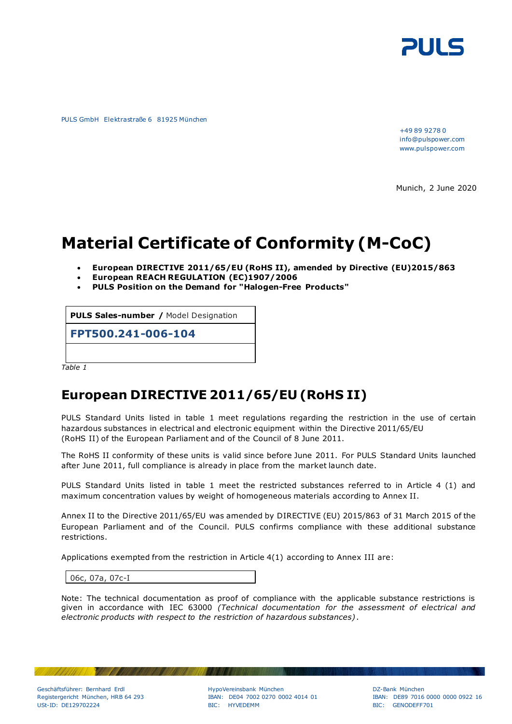

PULS GmbH Elektrastraße 6 81925 München

+49 89 9278 0 info@pulspower.com www.pulspower.com

Munich, 2 June 2020

## **Material Certificate of Conformity (M-CoC)**

- **European DIRECTIVE 2011/65/EU (RoHS II), amended by Directive [\(EU\)2015/863](http://eur-lex.europa.eu/legal-content/EN-DE/TXT/?qid=1456163581990&uri=CELEX:32015L0863&from=EN)**
- **European REACH REGULATION (EC)1907/2006**
- **PULS Position on the Demand for "Halogen-Free Products"**

**PULS Sales-number /** Model Designation

**FPT500.241-006-104**

*Table 1*

## **European DIRECTIVE 2011/65/EU (RoHS II)**

PULS Standard Units listed in table 1 meet regulations regarding the restriction in the use of certain hazardous substances in electrical and electronic equipment within the Directive 2011/65/EU (RoHS II) of the European Parliament and of the Council of 8 June 2011.

The RoHS II conformity of these units is valid since before June 2011. For PULS Standard Units launched after June 2011, full compliance is already in place from the market launch date.

PULS Standard Units listed in table 1 meet the restricted substances referred to in Article 4 (1) and maximum concentration values by weight of homogeneous materials according to Annex II.

Annex II to the Directive 2011/65/EU was amended by [DIRECTIVE \(EU\) 2015/863](http://eur-lex.europa.eu/legal-content/EN-DE/TXT/?qid=1456163581990&uri=CELEX:32015L0863&from=EN) of 31 March 2015 of the European Parliament and of the Council. PULS confirms compliance with these additional substance restrictions.

Applications exempted from the restriction in Article 4(1) according to Annex III are:

06c, 07a, 07c-I

Note: The technical documentation as proof of compliance with the applicable substance restrictions is given in accordance with IEC 63000 *(Technical documentation for the assessment of electrical and electronic products with respect to the restriction of hazardous substances)* .

Geschäftsführer: Bernhard Erdl ein ander der HypoVereinsbank München auch der Bank München DZ-Bank München DZ-Bank München DZ-Bank München DZ-Bank München DZ-Bank München DZ-Bank München DE89 7016

**MAG** 

USt-ID: DE129702224 BIC: HYVEDEMM BIC: GENODEFF701

IBAN: DE04 7002 0270 0002 4014 01 IBAN: DE89 7016 0000 0000 0922 16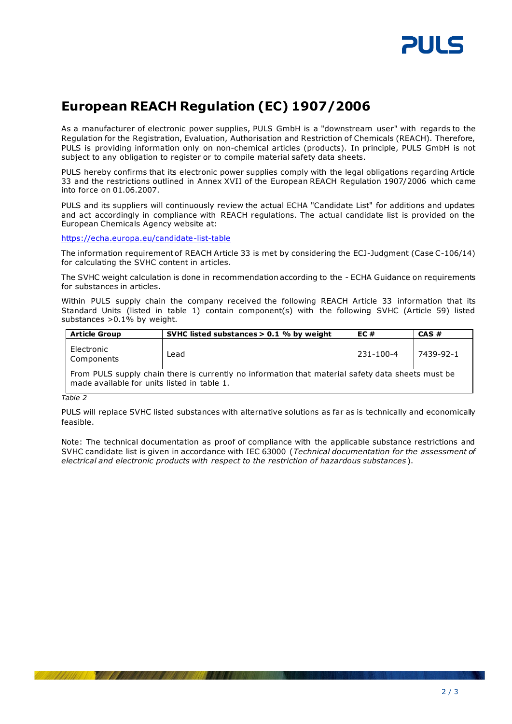

## **European REACH Regulation (EC) 1907/2006**

As a manufacturer of electronic power supplies, PULS GmbH is a "downstream user" with regards to the Regulation for the Registration, Evaluation, Authorisation and Restriction of Chemicals (REACH). Therefore, PULS is providing information only on non-chemical articles (products). In principle, PULS GmbH is not subject to any obligation to register or to compile material safety data sheets.

PULS hereby confirms that its electronic power supplies comply with the legal obligations regarding Article 33 and the restrictions outlined in Annex XVII of the European REACH Regulation 1907/2006 which came into force on 01.06.2007.

PULS and its suppliers will continuously review the actual ECHA "Candidate List" for additions and updates and act accordingly in compliance with REACH regulations. The actual candidate list is provided on the European Chemicals Agency website at:

<https://echa.europa.eu/candidate-list-table>

The information requirement of REACH Article 33 is met by considering the ECJ-Judgment (Case C-106/14) for calculating the SVHC content in articles.

The SVHC weight calculation is done in recommendation according to the - ECHA Guidance on requirements for substances in articles.

Within PULS supply chain the company received the following REACH Article 33 information that its Standard Units (listed in table 1) contain component(s) with the following SVHC (Article 59) listed substances  $>0.1\%$  by weight.

| <b>Article Group</b>                                                                                                                             | SVHC listed substances $> 0.1$ % by weight | EC #      | CAS#      |
|--------------------------------------------------------------------------------------------------------------------------------------------------|--------------------------------------------|-----------|-----------|
| Electronic<br>Components                                                                                                                         | Lead                                       | 231-100-4 | 7439-92-1 |
| From PULS supply chain there is currently no information that material safety data sheets must be<br>made available for units listed in table 1. |                                            |           |           |

*Table 2*

PULS will replace SVHC listed substances with alternative solutions as far as is technically and economically feasible.

Note: The technical documentation as proof of compliance with the applicable substance restrictions and SVHC candidate list is given in accordance with IEC 63000 (*Technical documentation for the assessment of electrical and electronic products with respect to the restriction of hazardous substances* ).